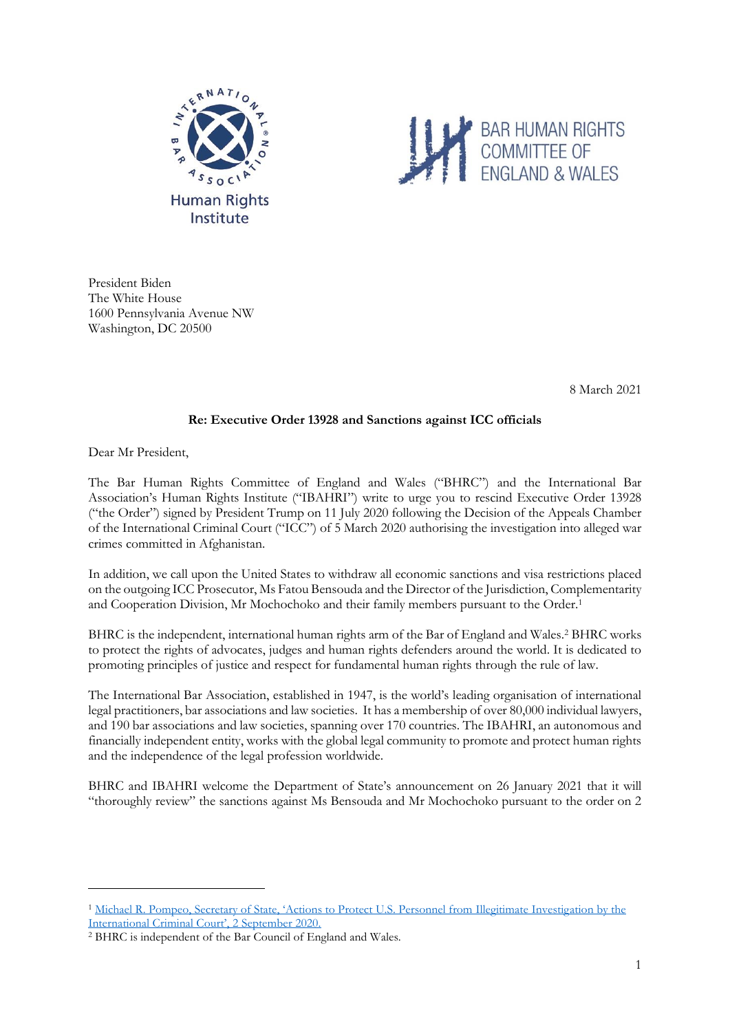



President Biden The White House 1600 Pennsylvania Avenue NW Washington, DC 20500

8 March 2021

## **Re: Executive Order 13928 and Sanctions against ICC officials**

Dear Mr President,

The Bar Human Rights Committee of England and Wales ("BHRC") and the International Bar Association's Human Rights Institute ("IBAHRI") write to urge you to rescind Executive Order 13928 ("the Order") signed by President Trump on 11 July 2020 following the Decision of the Appeals Chamber of the International Criminal Court ("ICC") of 5 March 2020 authorising the investigation into alleged war crimes committed in Afghanistan.

In addition, we call upon the United States to withdraw all economic sanctions and visa restrictions placed on the outgoing ICC Prosecutor, Ms Fatou Bensouda and the Director of the Jurisdiction, Complementarity and Cooperation Division, Mr Mochochoko and their family members pursuant to the Order.<sup>1</sup>

BHRC is the independent, international human rights arm of the Bar of England and Wales.<sup>2</sup> BHRC works to protect the rights of advocates, judges and human rights defenders around the world. It is dedicated to promoting principles of justice and respect for fundamental human rights through the rule of law.

The International Bar Association, established in 1947, is the world's leading organisation of international legal practitioners, bar associations and law societies. It has a membership of over 80,000 individual lawyers, and 190 bar associations and law societies, spanning over 170 countries. The IBAHRI, an autonomous and financially independent entity, works with the global legal community to promote and protect human rights and the independence of the legal profession worldwide.

BHRC and IBAHRI welcome the Department of State's announcement on 26 January 2021 that it will "thoroughly review" the sanctions against Ms Bensouda and Mr Mochochoko pursuant to the order on 2

<sup>1</sup> [Michael R. Pompeo, Secretary of State, 'Actions to Protect U.S. Personnel from Illegitimate Investig](https://2017-2021.state.gov/actions-to-protect-u-s-personnel-from-illegitimate-investigation-by-the-international-criminal-court/index.html)ation by the [International Criminal Court', 2 September 2020.](https://2017-2021.state.gov/actions-to-protect-u-s-personnel-from-illegitimate-investigation-by-the-international-criminal-court/index.html)

<sup>2</sup> BHRC is independent of the Bar Council of England and Wales.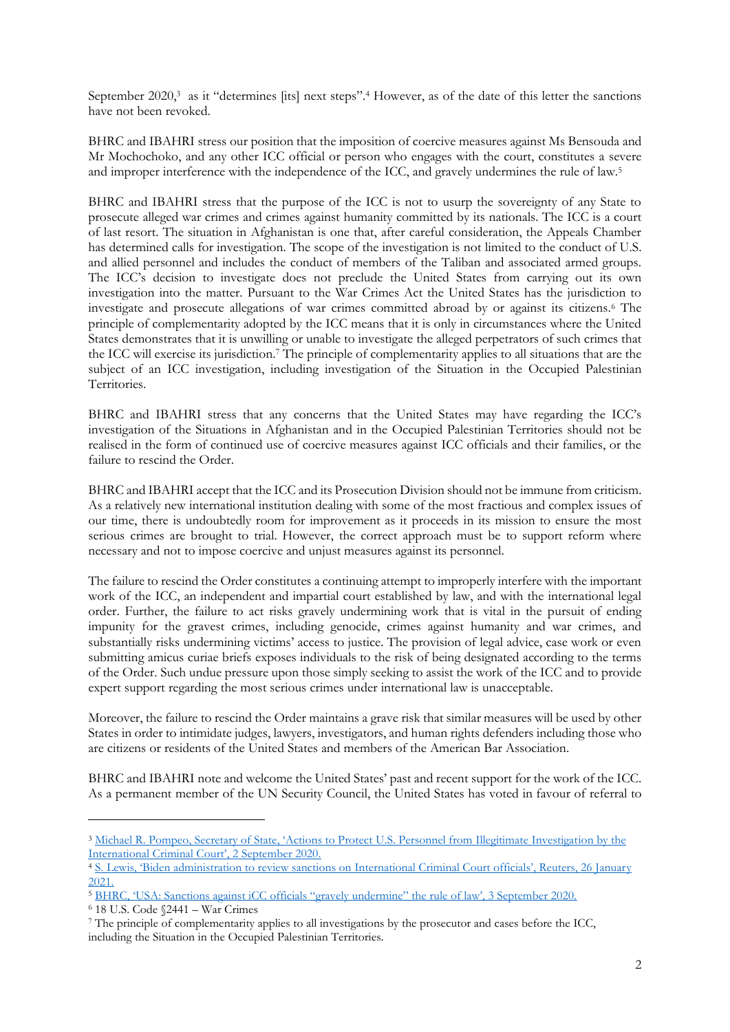September 2020,<sup>3</sup> as it "determines [its] next steps".<sup>4</sup> However, as of the date of this letter the sanctions have not been revoked.

BHRC and IBAHRI stress our position that the imposition of coercive measures against Ms Bensouda and Mr Mochochoko, and any other ICC official or person who engages with the court, constitutes a severe and improper interference with the independence of the ICC, and gravely undermines the rule of law.<sup>5</sup>

BHRC and IBAHRI stress that the purpose of the ICC is not to usurp the sovereignty of any State to prosecute alleged war crimes and crimes against humanity committed by its nationals. The ICC is a court of last resort. The situation in Afghanistan is one that, after careful consideration, the Appeals Chamber has determined calls for investigation. The scope of the investigation is not limited to the conduct of U.S. and allied personnel and includes the conduct of members of the Taliban and associated armed groups. The ICC's decision to investigate does not preclude the United States from carrying out its own investigation into the matter. Pursuant to the War Crimes Act the United States has the jurisdiction to investigate and prosecute allegations of war crimes committed abroad by or against its citizens.<sup>6</sup> The principle of complementarity adopted by the ICC means that it is only in circumstances where the United States demonstrates that it is unwilling or unable to investigate the alleged perpetrators of such crimes that the ICC will exercise its jurisdiction.<sup>7</sup> The principle of complementarity applies to all situations that are the subject of an ICC investigation, including investigation of the Situation in the Occupied Palestinian Territories.

BHRC and IBAHRI stress that any concerns that the United States may have regarding the ICC's investigation of the Situations in Afghanistan and in the Occupied Palestinian Territories should not be realised in the form of continued use of coercive measures against ICC officials and their families, or the failure to rescind the Order.

BHRC and IBAHRI accept that the ICC and its Prosecution Division should not be immune from criticism. As a relatively new international institution dealing with some of the most fractious and complex issues of our time, there is undoubtedly room for improvement as it proceeds in its mission to ensure the most serious crimes are brought to trial. However, the correct approach must be to support reform where necessary and not to impose coercive and unjust measures against its personnel.

The failure to rescind the Order constitutes a continuing attempt to improperly interfere with the important work of the ICC, an independent and impartial court established by law, and with the international legal order. Further, the failure to act risks gravely undermining work that is vital in the pursuit of ending impunity for the gravest crimes, including genocide, crimes against humanity and war crimes, and substantially risks undermining victims' access to justice. The provision of legal advice, case work or even submitting amicus curiae briefs exposes individuals to the risk of being designated according to the terms of the Order. Such undue pressure upon those simply seeking to assist the work of the ICC and to provide expert support regarding the most serious crimes under international law is unacceptable.

Moreover, the failure to rescind the Order maintains a grave risk that similar measures will be used by other States in order to intimidate judges, lawyers, investigators, and human rights defenders including those who are citizens or residents of the United States and members of the American Bar Association.

BHRC and IBAHRI note and welcome the United States' past and recent support for the work of the ICC. As a permanent member of the UN Security Council, the United States has voted in favour of referral to

<sup>3</sup> [Michael R. Pompeo, Secretary of State, 'Actions to Protect U.S. Personnel from Illegitimate Investigat](https://2017-2021.state.gov/actions-to-protect-u-s-personnel-from-illegitimate-investigation-by-the-international-criminal-court/index.html)ion by the [International Criminal Court', 2 September 2020.](https://2017-2021.state.gov/actions-to-protect-u-s-personnel-from-illegitimate-investigation-by-the-international-criminal-court/index.html)

<sup>4</sup> [S. Lewis, 'Biden administration to review sanctions on International Criminal Court officials', Reuters, 26 Januar](https://www.reuters.com/article/us-usa-biden-icct-idUSKBN29V2NV)y [2021.](https://www.reuters.com/article/us-usa-biden-icct-idUSKBN29V2NV)

<sup>5</sup> [BHRC, 'USA: Sanctions against iCC officials "gravely undermine" the rule of law', 3 September 2020.](https://www.barhumanrights.org.uk/wp-content/uploads/2020/09/200903-Statement_US-sanctions-against-ICC-officials.pdf)

<sup>6</sup> 18 U.S. Code §2441 – War Crimes

<sup>7</sup> The principle of complementarity applies to all investigations by the prosecutor and cases before the ICC, including the Situation in the Occupied Palestinian Territories.